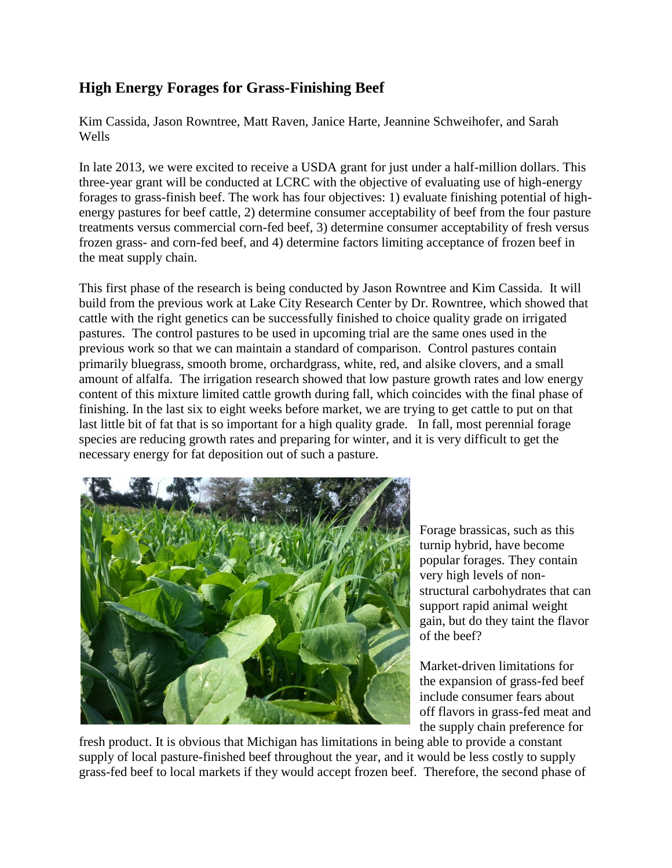## **High Energy Forages for Grass-Finishing Beef**

Kim Cassida, Jason Rowntree, Matt Raven, Janice Harte, Jeannine Schweihofer, and Sarah Wells

In late 2013, we were excited to receive a USDA grant for just under a half-million dollars. This three-year grant will be conducted at LCRC with the objective of evaluating use of high-energy forages to grass-finish beef. The work has four objectives: 1) evaluate finishing potential of highenergy pastures for beef cattle, 2) determine consumer acceptability of beef from the four pasture treatments versus commercial corn-fed beef, 3) determine consumer acceptability of fresh versus frozen grass- and corn-fed beef, and 4) determine factors limiting acceptance of frozen beef in the meat supply chain.

This first phase of the research is being conducted by Jason Rowntree and Kim Cassida. It will build from the previous work at Lake City Research Center by Dr. Rowntree, which showed that cattle with the right genetics can be successfully finished to choice quality grade on irrigated pastures. The control pastures to be used in upcoming trial are the same ones used in the previous work so that we can maintain a standard of comparison. Control pastures contain primarily bluegrass, smooth brome, orchardgrass, white, red, and alsike clovers, and a small amount of alfalfa. The irrigation research showed that low pasture growth rates and low energy content of this mixture limited cattle growth during fall, which coincides with the final phase of finishing. In the last six to eight weeks before market, we are trying to get cattle to put on that last little bit of fat that is so important for a high quality grade. In fall, most perennial forage species are reducing growth rates and preparing for winter, and it is very difficult to get the necessary energy for fat deposition out of such a pasture.



Forage brassicas, such as this turnip hybrid, have become popular forages. They contain very high levels of nonstructural carbohydrates that can support rapid animal weight gain, but do they taint the flavor of the beef?

Market-driven limitations for the expansion of grass-fed beef include consumer fears about off flavors in grass-fed meat and the supply chain preference for

fresh product. It is obvious that Michigan has limitations in being able to provide a constant supply of local pasture-finished beef throughout the year, and it would be less costly to supply grass-fed beef to local markets if they would accept frozen beef. Therefore, the second phase of